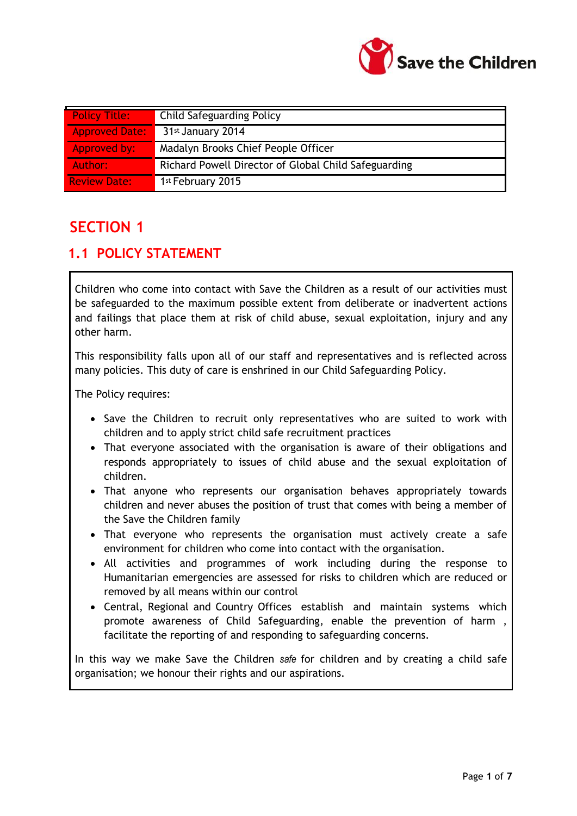

| <b>Policy Title:</b>  | <b>Child Safeguarding Policy</b>                     |
|-----------------------|------------------------------------------------------|
| <b>Approved Date:</b> | 31st January 2014                                    |
| Approved by:          | Madalyn Brooks Chief People Officer                  |
| Author:               | Richard Powell Director of Global Child Safeguarding |
| <b>Review Date:</b>   | 1st February 2015                                    |

## **SECTION 1**

#### **1.1 POLICY STATEMENT**

Children who come into contact with Save the Children as a result of our activities must be safeguarded to the maximum possible extent from deliberate or inadvertent actions and failings that place them at risk of child abuse, sexual exploitation, injury and any other harm.

This responsibility falls upon all of our staff and representatives and is reflected across many policies. This duty of care is enshrined in our Child Safeguarding Policy.

The Policy requires:

- Save the Children to recruit only representatives who are suited to work with children and to apply strict child safe recruitment practices
- That everyone associated with the organisation is aware of their obligations and responds appropriately to issues of child abuse and the sexual exploitation of children.
- That anyone who represents our organisation behaves appropriately towards children and never abuses the position of trust that comes with being a member of the Save the Children family
- That everyone who represents the organisation must actively create a safe environment for children who come into contact with the organisation.
- All activities and programmes of work including during the response to Humanitarian emergencies are assessed for risks to children which are reduced or removed by all means within our control
- Central, Regional and Country Offices establish and maintain systems which promote awareness of Child Safeguarding, enable the prevention of harm , facilitate the reporting of and responding to safeguarding concerns.

In this way we make Save the Children *safe* for children and by creating a child safe organisation; we honour their rights and our aspirations.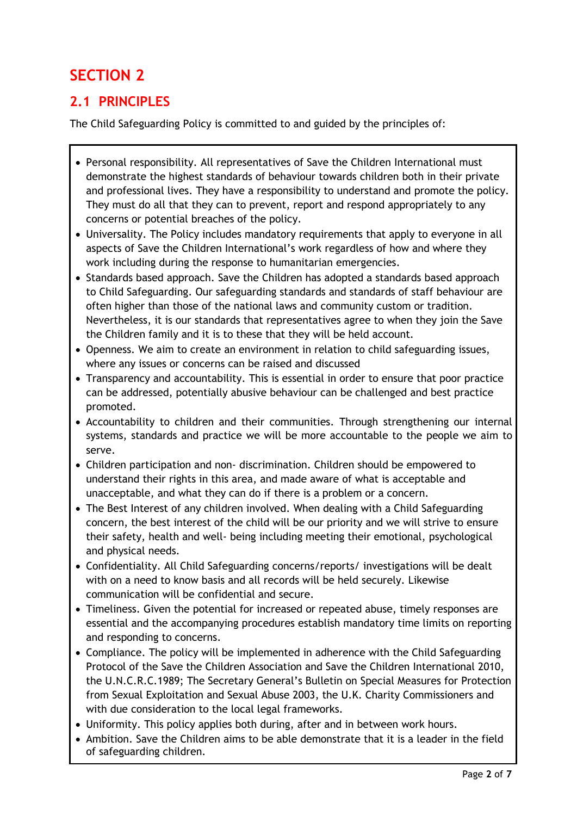# **SECTION 2**

## **2.1 PRINCIPLES**

The Child Safeguarding Policy is committed to and guided by the principles of:

- Personal responsibility. All representatives of Save the Children International must demonstrate the highest standards of behaviour towards children both in their private and professional lives. They have a responsibility to understand and promote the policy. They must do all that they can to prevent, report and respond appropriately to any concerns or potential breaches of the policy.
- Universality. The Policy includes mandatory requirements that apply to everyone in all aspects of Save the Children International's work regardless of how and where they work including during the response to humanitarian emergencies.
- Standards based approach. Save the Children has adopted a standards based approach to Child Safeguarding. Our safeguarding standards and standards of staff behaviour are often higher than those of the national laws and community custom or tradition. Nevertheless, it is our standards that representatives agree to when they join the Save the Children family and it is to these that they will be held account.
- Openness. We aim to create an environment in relation to child safeguarding issues, where any issues or concerns can be raised and discussed
- Transparency and accountability. This is essential in order to ensure that poor practice can be addressed, potentially abusive behaviour can be challenged and best practice promoted.
- Accountability to children and their communities. Through strengthening our internal systems, standards and practice we will be more accountable to the people we aim to serve.
- Children participation and non- discrimination. Children should be empowered to understand their rights in this area, and made aware of what is acceptable and unacceptable, and what they can do if there is a problem or a concern.
- The Best Interest of any children involved. When dealing with a Child Safeguarding concern, the best interest of the child will be our priority and we will strive to ensure their safety, health and well- being including meeting their emotional, psychological and physical needs.
- Confidentiality. All Child Safeguarding concerns/reports/ investigations will be dealt with on a need to know basis and all records will be held securely. Likewise communication will be confidential and secure.
- Timeliness. Given the potential for increased or repeated abuse, timely responses are essential and the accompanying procedures establish mandatory time limits on reporting and responding to concerns.
- Compliance. The policy will be implemented in adherence with the Child Safeguarding Protocol of the Save the Children Association and Save the Children International 2010, the U.N.C.R.C.1989; The Secretary General's Bulletin on Special Measures for Protection from Sexual Exploitation and Sexual Abuse 2003, the U.K. Charity Commissioners and with due consideration to the local legal frameworks.
- Uniformity. This policy applies both during, after and in between work hours.
- Ambition. Save the Children aims to be able demonstrate that it is a leader in the field of safeguarding children.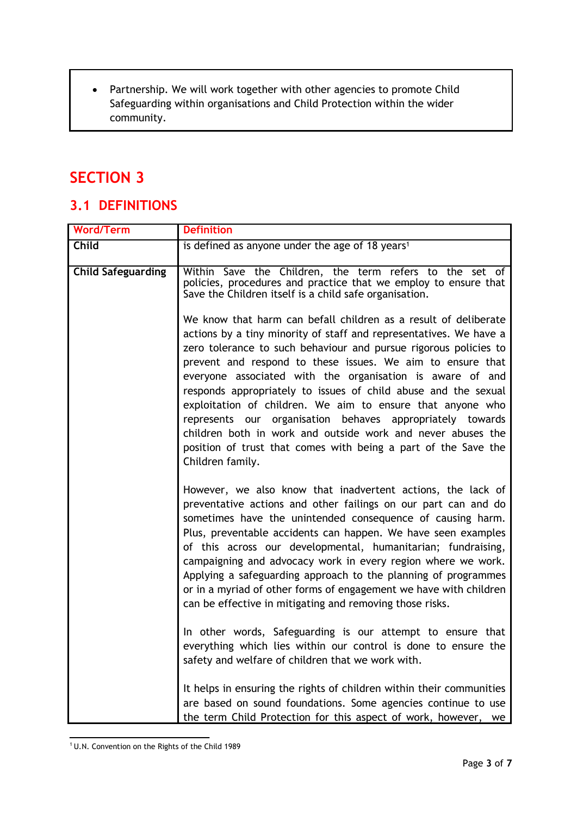Partnership. We will work together with other agencies to promote Child Safeguarding within organisations and Child Protection within the wider community.

## **SECTION 3**

#### **3.1 DEFINITIONS**

| <b>Word/Term</b>          | <b>Definition</b>                                                                                                                                                                                                                                                                                                                                                                                                                                                                                                                                                                                                                                                                      |
|---------------------------|----------------------------------------------------------------------------------------------------------------------------------------------------------------------------------------------------------------------------------------------------------------------------------------------------------------------------------------------------------------------------------------------------------------------------------------------------------------------------------------------------------------------------------------------------------------------------------------------------------------------------------------------------------------------------------------|
| <b>Child</b>              | is defined as anyone under the age of 18 years <sup>1</sup>                                                                                                                                                                                                                                                                                                                                                                                                                                                                                                                                                                                                                            |
| <b>Child Safeguarding</b> | Within Save the Children, the term refers to the set of<br>policies, procedures and practice that we employ to ensure that<br>Save the Children itself is a child safe organisation.                                                                                                                                                                                                                                                                                                                                                                                                                                                                                                   |
|                           | We know that harm can befall children as a result of deliberate<br>actions by a tiny minority of staff and representatives. We have a<br>zero tolerance to such behaviour and pursue rigorous policies to<br>prevent and respond to these issues. We aim to ensure that<br>everyone associated with the organisation is aware of and<br>responds appropriately to issues of child abuse and the sexual<br>exploitation of children. We aim to ensure that anyone who<br>represents our organisation behaves appropriately towards<br>children both in work and outside work and never abuses the<br>position of trust that comes with being a part of the Save the<br>Children family. |
|                           | However, we also know that inadvertent actions, the lack of<br>preventative actions and other failings on our part can and do<br>sometimes have the unintended consequence of causing harm.<br>Plus, preventable accidents can happen. We have seen examples<br>of this across our developmental, humanitarian; fundraising,<br>campaigning and advocacy work in every region where we work.<br>Applying a safeguarding approach to the planning of programmes<br>or in a myriad of other forms of engagement we have with children<br>can be effective in mitigating and removing those risks.                                                                                        |
|                           | In other words, Safeguarding is our attempt to ensure that<br>everything which lies within our control is done to ensure the<br>safety and welfare of children that we work with.                                                                                                                                                                                                                                                                                                                                                                                                                                                                                                      |
|                           | It helps in ensuring the rights of children within their communities<br>are based on sound foundations. Some agencies continue to use<br>the term Child Protection for this aspect of work, however, we                                                                                                                                                                                                                                                                                                                                                                                                                                                                                |

 $10$ .N. Convention on the Rights of the Child 1989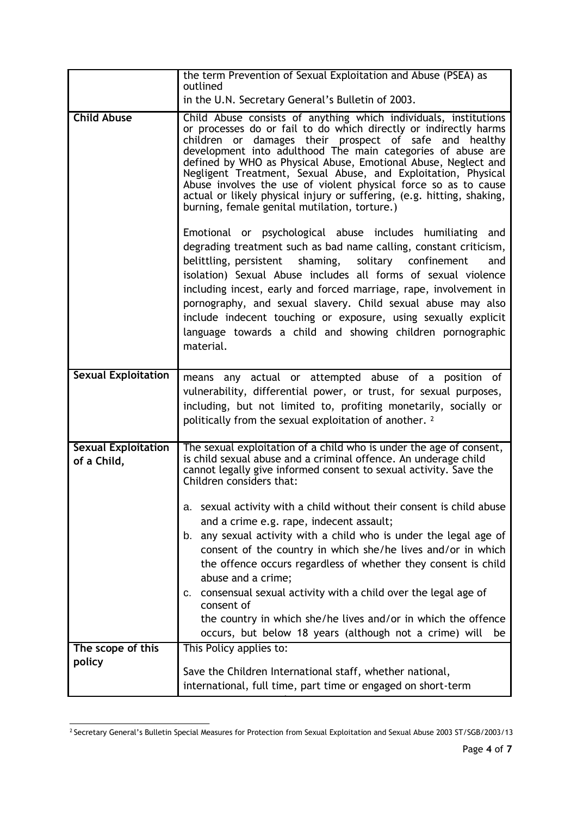|                                           | the term Prevention of Sexual Exploitation and Abuse (PSEA) as<br>outlined                                                                                                                                                                                                                                                                                                                                                                                                                                                                                                                     |
|-------------------------------------------|------------------------------------------------------------------------------------------------------------------------------------------------------------------------------------------------------------------------------------------------------------------------------------------------------------------------------------------------------------------------------------------------------------------------------------------------------------------------------------------------------------------------------------------------------------------------------------------------|
|                                           | in the U.N. Secretary General's Bulletin of 2003.                                                                                                                                                                                                                                                                                                                                                                                                                                                                                                                                              |
| <b>Child Abuse</b>                        | Child Abuse consists of anything which individuals, institutions<br>or processes do or fail to do which directly or indirectly harms<br>children or damages their prospect of safe and healthy<br>development into adulthood The main categories of abuse are<br>defined by WHO as Physical Abuse, Emotional Abuse, Neglect and<br>Negligent Treatment, Sexual Abuse, and Exploitation, Physical<br>Abuse involves the use of violent physical force so as to cause<br>actual or likely physical injury or suffering, (e.g. hitting, shaking,<br>burning, female genital mutilation, torture.) |
|                                           | Emotional or psychological abuse includes humiliating and<br>degrading treatment such as bad name calling, constant criticism,<br>belittling, persistent<br>shaming, solitary confinement<br>and<br>isolation) Sexual Abuse includes all forms of sexual violence<br>including incest, early and forced marriage, rape, involvement in<br>pornography, and sexual slavery. Child sexual abuse may also<br>include indecent touching or exposure, using sexually explicit<br>language towards a child and showing children pornographic<br>material.                                            |
| <b>Sexual Exploitation</b>                | means any actual or attempted abuse of a position of<br>vulnerability, differential power, or trust, for sexual purposes,<br>including, but not limited to, profiting monetarily, socially or<br>politically from the sexual exploitation of another. 2                                                                                                                                                                                                                                                                                                                                        |
| <b>Sexual Exploitation</b><br>of a Child, | The sexual exploitation of a child who is under the age of consent,<br>is child sexual abuse and a criminal offence. An underage child<br>cannot legally give informed consent to sexual activity. Save the<br>Children considers that:                                                                                                                                                                                                                                                                                                                                                        |
|                                           | a. sexual activity with a child without their consent is child abuse<br>and a crime e.g. rape, indecent assault;<br>b. any sexual activity with a child who is under the legal age of<br>consent of the country in which she/he lives and/or in which<br>the offence occurs regardless of whether they consent is child<br>abuse and a crime;<br>consensual sexual activity with a child over the legal age of<br>c.<br>consent of<br>the country in which she/he lives and/or in which the offence<br>occurs, but below 18 years (although not a crime) will<br>be                            |
| The scope of this                         | This Policy applies to:                                                                                                                                                                                                                                                                                                                                                                                                                                                                                                                                                                        |
| policy                                    | Save the Children International staff, whether national,<br>international, full time, part time or engaged on short-term                                                                                                                                                                                                                                                                                                                                                                                                                                                                       |

<sup>2</sup> Secretary General's Bulletin Special Measures for Protection from Sexual Exploitation and Sexual Abuse 2003 ST/SGB/2003/13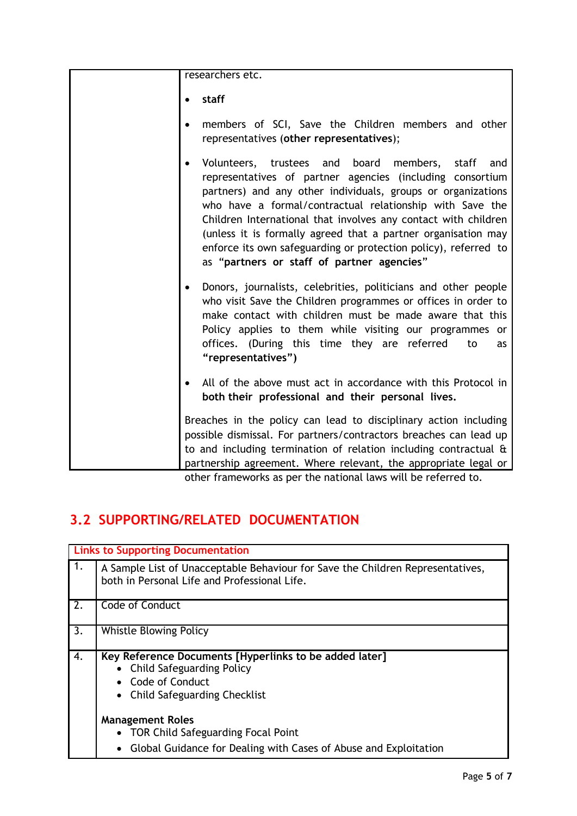researchers etc.

**staff**

- members of SCI, Save the Children members and other representatives (**other representatives**);
	- Volunteers, trustees and board members, staff and representatives of partner agencies (including consortium partners) and any other individuals, groups or organizations who have a formal/contractual relationship with Save the Children International that involves any contact with children (unless it is formally agreed that a partner organisation may enforce its own safeguarding or protection policy), referred to as "**partners or staff of partner agencies**"
	- Donors, journalists, celebrities, politicians and other people who visit Save the Children programmes or offices in order to make contact with children must be made aware that this Policy applies to them while visiting our programmes or offices. (During this time they are referred to as **"representatives")**
	- All of the above must act in accordance with this Protocol in **both their professional and their personal lives.**

Breaches in the policy can lead to disciplinary action including possible dismissal. For partners/contractors breaches can lead up to and including termination of relation including contractual & partnership agreement. Where relevant, the appropriate legal or

other frameworks as per the national laws will be referred to.

## **3.2 SUPPORTING/RELATED DOCUMENTATION**

|                  | <b>Links to Supporting Documentation</b>                                                                                                          |  |  |
|------------------|---------------------------------------------------------------------------------------------------------------------------------------------------|--|--|
| 1.               | A Sample List of Unacceptable Behaviour for Save the Children Representatives,<br>both in Personal Life and Professional Life.                    |  |  |
| 2.               | Code of Conduct                                                                                                                                   |  |  |
| $\overline{3}$ . | <b>Whistle Blowing Policy</b>                                                                                                                     |  |  |
| 4.               | Key Reference Documents [Hyperlinks to be added later]<br>• Child Safeguarding Policy<br><b>Code of Conduct</b><br>• Child Safeguarding Checklist |  |  |
|                  | <b>Management Roles</b><br>• TOR Child Safeguarding Focal Point<br>Global Guidance for Dealing with Cases of Abuse and Exploitation<br>$\bullet$  |  |  |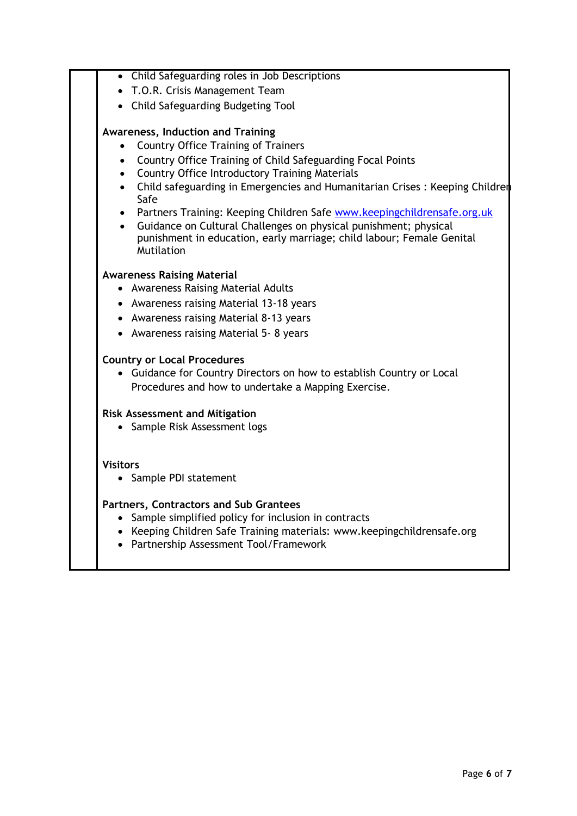| • Child Safeguarding roles in Job Descriptions                                      |
|-------------------------------------------------------------------------------------|
| • T.O.R. Crisis Management Team                                                     |
| • Child Safeguarding Budgeting Tool                                                 |
| <b>Awareness, Induction and Training</b>                                            |
| <b>Country Office Training of Trainers</b>                                          |
| Country Office Training of Child Safeguarding Focal Points<br>$\bullet$             |
| <b>Country Office Introductory Training Materials</b>                               |
| Child safeguarding in Emergencies and Humanitarian Crises: Keeping Children<br>Safe |
| Partners Training: Keeping Children Safe www.keepingchildrensafe.org.uk             |
| Guidance on Cultural Challenges on physical punishment; physical                    |
| punishment in education, early marriage; child labour; Female Genital<br>Mutilation |
|                                                                                     |
| <b>Awareness Raising Material</b>                                                   |
| • Awareness Raising Material Adults                                                 |
| • Awareness raising Material 13-18 years                                            |
| • Awareness raising Material 8-13 years                                             |
| • Awareness raising Material 5-8 years                                              |
| <b>Country or Local Procedures</b>                                                  |
| • Guidance for Country Directors on how to establish Country or Local               |
| Procedures and how to undertake a Mapping Exercise.                                 |
| <b>Risk Assessment and Mitigation</b>                                               |
| • Sample Risk Assessment logs                                                       |
|                                                                                     |
| <b>Visitors</b>                                                                     |
| • Sample PDI statement                                                              |
| Partners, Contractors and Sub Grantees                                              |
| Sample simplified policy for inclusion in contracts                                 |
| • Keeping Children Safe Training materials: www.keepingchildrensafe.org             |

Partnership Assessment Tool/Framework